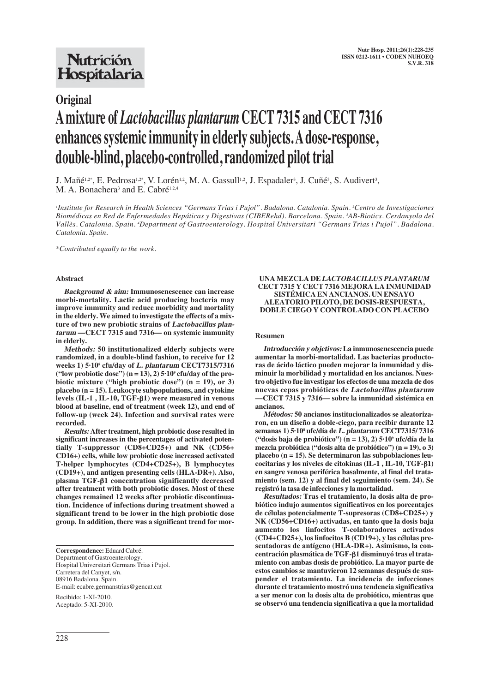## **Nutrición** Hospitalaria

### **Original**

# **A mixture of** *Lactobacillus plantarum* **CECT 7315 and CECT 7316 enhances systemic immunity in elderly subjects. A dose-response, double-blind, placebo-controlled, randomized pilot trial**

J. Mañé<sup>1,2\*</sup>, E. Pedrosa<sup>1,2\*</sup>, V. Lorén<sup>1,2</sup>, M. A. Gassull<sup>1,2</sup>, J. Espadaler<sup>3</sup>, J. Cuñé<sup>3</sup>, S. Audivert<sup>3</sup>, M. A. Bonachera<sup>3</sup> and E. Cabré<sup>1,2,4</sup>

*1 Institute for Research in Health Sciences "Germans Trias i Pujol". Badalona. Catalonia. Spain. 2 Centro de Investigaciones Biomédicas en Red de Enfermedades Hepáticas y Digestivas (CIBERehd). Barcelona. Spain. 3 AB-Biotics. Cerdanyola del Vallès. Catalonia. Spain. 4 Department of Gastroenterology. Hospital Universitari "Germans Trias i Pujol". Badalona. Catalonia. Spain.*

*\*Contributed equally to the work.*

#### **Abstract**

**Background & aim: Immunosenescence can increase morbi-mortality. Lactic acid producing bacteria may improve immunity and reduce morbidity and mortality in the elderly. We aimed to investigate the effects of a mixture of two new probiotic strains of Lactobacillus plantarum —CECT 7315 and 7316— on systemic immunity in elderly.** 

**Methods: 50 institutionalized elderly subjects were randomized, in a double-blind fashion, to receive for 12 weeks 1) 5·108 cfu/day of L. plantarum CECT7315/7316** ("low probiotic dose")  $(n = 13)$ , 2)  $5 \cdot 10^9$  cfu/day of the pro**biotic mixture ("high probiotic dose") (n = 19), or 3) placebo (n = 15). Leukocyte subpopulations, and cytokine levels (IL-1 , IL-10, TGF-**β**1) were measured in venous blood at baseline, end of treatment (week 12), and end of follow-up (week 24). Infection and survival rates were recorded.**

**Results: After treatment, high probiotic dose resulted in significant increases in the percentages of activated potentially T-suppressor (CD8+CD25+) and NK (CD56+ CD16+) cells, while low probiotic dose increased activated T-helper lymphocytes (CD4+CD25+), B lymphocytes (CD19+), and antigen presenting cells (HLA-DR+). Also, plasma TGF-**β**1 concentration significantly decreased after treatment with both probiotic doses. Most of these changes remained 12 weeks after probiotic discontinuation. Incidence of infections during treatment showed a significant trend to be lower in the high probiotic dose group. In addition, there was a significant trend for mor-**

**Correspondence:** Eduard Cabré. Department of Gastroenterology. Hospital Universitari Germans Trias i Pujol. Carretera del Canyet, s/n. 08916 Badalona. Spain. E-mail: ecabre.germanstrias@gencat.cat

Recibido: 1-XI-2010. Aceptado: 5-XI-2010.

#### **UNA MEZCLA DE** *LACTOBACILLUS PLANTARUM* **CECT 7315 Y CECT 7316 MEJORA LA INMUNIDAD SISTÉMICA EN ANCIANOS. UN ENSAYO ALEATORIO PILOTO, DE DOSIS-RESPUESTA, DOBLE CIEGO Y CONTROLADO CON PLACEBO**

#### **Resumen**

**Introducción y objetivos: La inmunosenescencia puede aumentar la morbi-mortalidad. Las bacterias productoras de ácido láctico pueden mejorar la inmunidad y disminuir la morbilidad y mortalidad en los ancianos. Nuestro objetivo fue investigar los efectos de una mezcla de dos nuevas cepas probióticas de Lactobacillus plantarum —CECT 7315 y 7316— sobre la inmunidad sistémica en ancianos.**

**Métodos: 50 ancianos institucionalizados se aleatorizaron, en un diseño a doble-ciego, para recibir durante 12 semanas 1) 5·108 ufc/día de L. plantarum CECT7315/ 7316 ("dosis baja de probiótico") (n = 13), 2) 5·109 ufc/día de la mezcla probiótica ("dosis alta de probiótico") (n = 19), o 3) placebo (n = 15). Se determinaron las subpoblaciones leucocitarias y los niveles de citokinas (IL-1 , IL-10, TGF-**β**1) en sangre venosa periférica basalmente, al final del tratamiento (sem. 12) y al final del seguimiento (sem. 24). Se registró la tasa de infecciones y la mortalidad.**

**Resultados: Tras el tratamiento, la dosis alta de probiótico indujo aumentos significativos en los porcentajes de células potencialmente T-supresoras (CD8+CD25+) y NK (CD56+CD16+) activadas, en tanto que la dosis baja aumento los linfocitos T-colaboradores activados (CD4+CD25+), los linfocitos B (CD19+), y las células presentadoras de antígeno (HLA-DR+). Asimismo, la concentración plasmática de TGF-**β**1 disminuyó tras el tratamiento con ambas dosis de probiótico. La mayor parte de estos cambios se mantuvieron 12 semanas después de suspender el tratamiento. La incidencia de infecciones durante el tratamiento mostró una tendencia significativa a ser menor con la dosis alta de probiótico, mientras que se observó una tendencia significativa a que la mortalidad**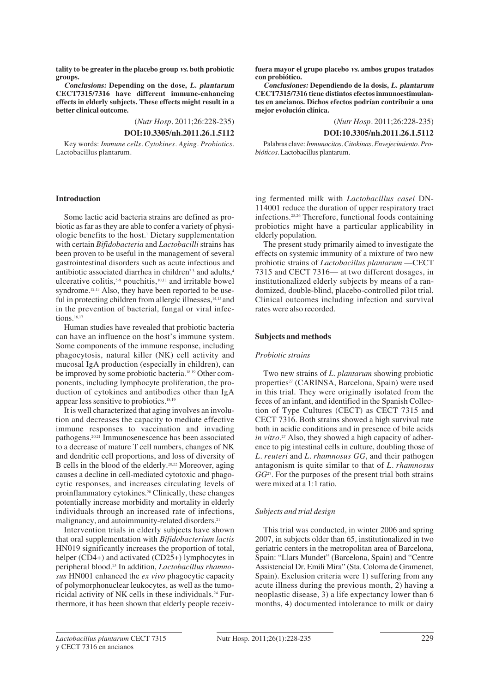**tality to be greater in the placebo group vs. both probiotic groups.**

**Conclusions: Depending on the dose, L. plantarum CECT7315/7316 have different immune-enhancing effects in elderly subjects. These effects might result in a better clinical outcome.**

(*Nutr Hosp.* 2011;26:228-235)

#### **DOI:10.3305/nh.2011.26.1.5112**

Key words: *Immune cells. Cytokines. Aging. Probiotics.* Lactobacillus plantarum.

#### **Introduction**

Some lactic acid bacteria strains are defined as probiotic as far as they are able to confer a variety of physiologic benefits to the host.1 Dietary supplementation with certain *Bifidobacteria* and *Lactobacilli* strains has been proven to be useful in the management of several gastrointestinal disorders such as acute infectious and antibiotic associated diarrhea in children<sup>2,3</sup> and adults, $4$ ulcerative colitis,<sup>5,9</sup> pouchitis,<sup>10,11</sup> and irritable bowel syndrome.<sup>12,13</sup> Also, they have been reported to be useful in protecting children from allergic illnesses, $14,15$  and in the prevention of bacterial, fungal or viral infections.<sup>16,17</sup>

Human studies have revealed that probiotic bacteria can have an influence on the host's immune system. Some components of the immune response, including phagocytosis, natural killer (NK) cell activity and mucosal IgA production (especially in children), can be improved by some probiotic bacteria.18,19 Other components, including lymphocyte proliferation, the production of cytokines and antibodies other than IgA appear less sensitive to probiotics.18,19

It is well characterized that aging involves an involution and decreases the capacity to mediate effective immune responses to vaccination and invading pathogens.20,21 Immunosenescence has been associated to a decrease of mature T cell numbers, changes of NK and dendritic cell proportions, and loss of diversity of B cells in the blood of the elderly.20,22 Moreover, aging causes a decline in cell-mediated cytotoxic and phagocytic responses, and increases circulating levels of proinflammatory cytokines.20 Clinically, these changes potentially increase morbidity and mortality in elderly individuals through an increased rate of infections, malignancy, and autoimmunity-related disorders.<sup>21</sup>

Intervention trials in elderly subjects have shown that oral supplementation with *Bifidobacterium lactis* HN019 significantly increases the proportion of total, helper (CD4+) and activated (CD25+) lymphocytes in peripheral blood.23 In addition, *Lactobacillus rhamnosus* HN001 enhanced the *ex vivo* phagocytic capacity of polymorphonuclear leukocytes, as well as the tumoricidal activity of NK cells in these individuals.24 Furthermore, it has been shown that elderly people receiv**fuera mayor el grupo placebo vs. ambos grupos tratados con probiótico.**

**Conclusiones: Dependiendo de la dosis, L. plantarum CECT7315/7316 tiene distintos efectos inmunoestimulantes en ancianos. Dichos efectos podrían contribuir a una mejor evolución clínica.**

(*Nutr Hosp.* 2011;26:228-235)

#### **DOI:10.3305/nh.2011.26.1.5112**

Palabras clave: *Inmunocitos. Citokinas. Envejecimiento. Probióticos.*Lactobacillus plantarum.

ing fermented milk with *Lactobacillus casei* DN-114001 reduce the duration of upper respiratory tract infections.25,26 Therefore, functional foods containing probiotics might have a particular applicability in elderly population.

The present study primarily aimed to investigate the effects on systemic immunity of a mixture of two new probiotic strains of *Lactobacillus plantarum* —CECT 7315 and CECT 7316— at two different dosages, in institutionalized elderly subjects by means of a randomized, double-blind, placebo-controlled pilot trial. Clinical outcomes including infection and survival rates were also recorded.

#### **Subjects and methods**

#### *Probiotic strains*

Two new strains of *L. plantarum* showing probiotic properties<sup>27</sup> (CARINSA, Barcelona, Spain) were used in this trial. They were originally isolated from the feces of an infant, and identified in the Spanish Collection of Type Cultures (CECT) as CECT 7315 and CECT 7316. Both strains showed a high survival rate both in acidic conditions and in presence of bile acids *in vitro.*<sup>27</sup> Also, they showed a high capacity of adherence to pig intestinal cells in culture, doubling those of *L. reuteri* and *L. rhamnosus GG*, and their pathogen antagonism is quite similar to that of *L. rhamnosus GG*27. For the purposes of the present trial both strains were mixed at a 1:1 ratio.

#### *Subjects and trial design*

This trial was conducted, in winter 2006 and spring 2007, in subjects older than 65, institutionalized in two geriatric centers in the metropolitan area of Barcelona, Spain: "Llars Mundet" (Barcelona, Spain) and "Centre Assistencial Dr. Emili Mira" (Sta. Coloma de Gramenet, Spain). Exclusion criteria were 1) suffering from any acute illness during the previous month, 2) having a neoplastic disease, 3) a life expectancy lower than 6 months, 4) documented intolerance to milk or dairy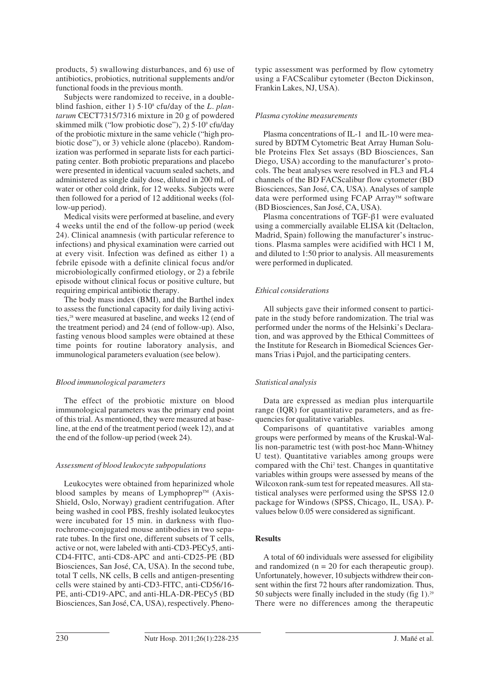products, 5) swallowing disturbances, and 6) use of antibiotics, probiotics, nutritional supplements and/or functional foods in the previous month.

Subjects were randomized to receive, in a doubleblind fashion, either 1) 5·108 cfu/day of the *L. plantarum* CECT7315/7316 mixture in 20 g of powdered skimmed milk ("low probiotic dose"), 2) 5·109 cfu/day of the probiotic mixture in the same vehicle ("high probiotic dose"), or 3) vehicle alone (placebo). Randomization was performed in separate lists for each participating center. Both probiotic preparations and placebo were presented in identical vacuum sealed sachets, and administered as single daily dose, diluted in 200 mL of water or other cold drink, for 12 weeks. Subjects were then followed for a period of 12 additional weeks (follow-up period).

Medical visits were performed at baseline, and every 4 weeks until the end of the follow-up period (week 24). Clinical anamnesis (with particular reference to infections) and physical examination were carried out at every visit. Infection was defined as either 1) a febrile episode with a definite clinical focus and/or microbiologically confirmed etiology, or 2) a febrile episode without clinical focus or positive culture, but requiring empirical antibiotic therapy.

The body mass index (BMI), and the Barthel index to assess the functional capacity for daily living activities,<sup>28</sup> were measured at baseline, and weeks 12 (end of the treatment period) and 24 (end of follow-up). Also, fasting venous blood samples were obtained at these time points for routine laboratory analysis, and immunological parameters evaluation (see below).

#### *Blood immunological parameters*

The effect of the probiotic mixture on blood immunological parameters was the primary end point of this trial. As mentioned, they were measured at baseline, at the end of the treatment period (week 12), and at the end of the follow-up period (week 24).

#### *Assessment of blood leukocyte subpopulations*

Leukocytes were obtained from heparinized whole blood samples by means of Lymphoprep<sup>TM</sup> (Axis-Shield, Oslo, Norway) gradient centrifugation. After being washed in cool PBS, freshly isolated leukocytes were incubated for 15 min. in darkness with fluorochrome-conjugated mouse antibodies in two separate tubes. In the first one, different subsets of T cells, active or not, were labeled with anti-CD3-PECy5, anti-CD4-FITC, anti-CD8-APC and anti-CD25-PE (BD Biosciences, San José, CA, USA). In the second tube, total T cells, NK cells, B cells and antigen-presenting cells were stained by anti-CD3-FITC, anti-CD56/16- PE, anti-CD19-APC, and anti-HLA-DR-PECy5 (BD Biosciences, San José, CA, USA), respectively. Phenotypic assessment was performed by flow cytometry using a FACScalibur cytometer (Becton Dickinson, Frankin Lakes, NJ, USA).

#### *Plasma cytokine measurements*

Plasma concentrations of IL-1 and IL-10 were measured by BDTM Cytometric Beat Array Human Soluble Proteins Flex Set assays (BD Biosciences, San Diego, USA) according to the manufacturer's protocols. The beat analyses were resolved in FL3 and FL4 channels of the BD FACScalibur flow cytometer (BD Biosciences, San José, CA, USA). Analyses of sample data were performed using FCAP Array<sup>TM</sup> software (BD Biosciences, San José, CA, USA).

Plasma concentrations of TGF-β1 were evaluated using a commercially available ELISA kit (Deltaclon, Madrid, Spain) following the manufacturer's instructions. Plasma samples were acidified with HCl 1 M, and diluted to 1:50 prior to analysis. All measurements were performed in duplicated.

#### *Ethical considerations*

All subjects gave their informed consent to participate in the study before randomization. The trial was performed under the norms of the Helsinki's Declaration, and was approved by the Ethical Committees of the Institute for Research in Biomedical Sciences Germans Trias i Pujol, and the participating centers.

#### *Statistical analysis*

Data are expressed as median plus interquartile range (IQR) for quantitative parameters, and as frequencies for qualitative variables.

Comparisons of quantitative variables among groups were performed by means of the Kruskal-Wallis non-parametric test (with post-hoc Mann-Whitney U test). Quantitative variables among groups were compared with the Chi2 test. Changes in quantitative variables within groups were assessed by means of the Wilcoxon rank-sum test for repeated measures. All statistical analyses were performed using the SPSS 12.0 package for Windows (SPSS, Chicago, IL, USA). Pvalues below 0.05 were considered as significant.

#### **Results**

A total of 60 individuals were assessed for eligibility and randomized  $(n = 20$  for each therapeutic group). Unfortunately, however, 10 subjects withdrew their consent within the first 72 hours after randomization. Thus, 50 subjects were finally included in the study (fig  $1$ ).<sup>29</sup> There were no differences among the therapeutic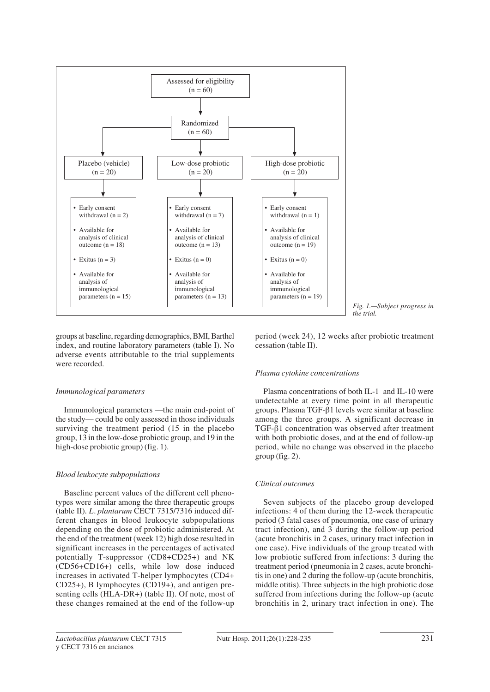

groups at baseline, regarding demographics, BMI, Barthel index, and routine laboratory parameters (table I). No adverse events attributable to the trial supplements were recorded.

#### *Immunological parameters*

Immunological parameters —the main end-point of the study— could be only assessed in those individuals surviving the treatment period (15 in the placebo group, 13 in the low-dose probiotic group, and 19 in the high-dose probiotic group) (fig. 1).

#### *Blood leukocyte subpopulations*

Baseline percent values of the different cell phenotypes were similar among the three therapeutic groups (table II). *L. plantarum* CECT 7315/7316 induced different changes in blood leukocyte subpopulations depending on the dose of probiotic administered. At the end of the treatment (week 12) high dose resulted in significant increases in the percentages of activated potentially T-suppressor (CD8+CD25+) and NK (CD56+CD16+) cells, while low dose induced increases in activated T-helper lymphocytes (CD4+ CD25+), B lymphocytes (CD19+), and antigen presenting cells (HLA-DR+) (table II). Of note, most of these changes remained at the end of the follow-up

period (week 24), 12 weeks after probiotic treatment cessation (table II).

#### *Plasma cytokine concentrations*

Plasma concentrations of both IL-1 and IL-10 were undetectable at every time point in all therapeutic groups. Plasma TGF-β1 levels were similar at baseline among the three groups. A significant decrease in TGF-β1 concentration was observed after treatment with both probiotic doses, and at the end of follow-up period, while no change was observed in the placebo group (fig. 2).

#### *Clinical outcomes*

Seven subjects of the placebo group developed infections: 4 of them during the 12-week therapeutic period (3 fatal cases of pneumonia, one case of urinary tract infection), and 3 during the follow-up period (acute bronchitis in 2 cases, urinary tract infection in one case). Five individuals of the group treated with low probiotic suffered from infections: 3 during the treatment period (pneumonia in 2 cases, acute bronchitis in one) and 2 during the follow-up (acute bronchitis, middle otitis). Three subjects in the high probiotic dose suffered from infections during the follow-up (acute bronchitis in 2, urinary tract infection in one). The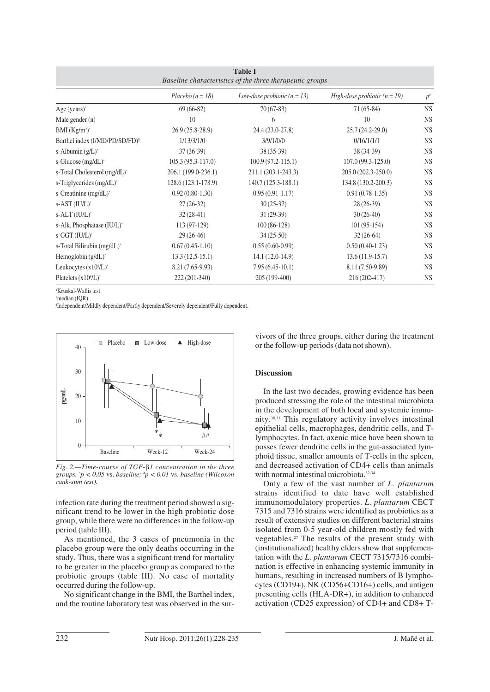| <b>Table I</b><br>Baseline characteristics of the three therapeutic groups |                     |                               |                                |           |  |  |
|----------------------------------------------------------------------------|---------------------|-------------------------------|--------------------------------|-----------|--|--|
|                                                                            | $Placebo (n = 18)$  | Low-dose probiotic $(n = 13)$ | High-dose probiotic $(n = 19)$ | $p^*$     |  |  |
| Age $(years)^*$                                                            | $69(66-82)$         | $70(67-83)$                   | $71(65-84)$                    | <b>NS</b> |  |  |
| Male gender $(n)$                                                          | 10                  | 6                             | 10                             | <b>NS</b> |  |  |
| BMI $(Kg/m2)*$                                                             | $26.9(25.8-28.9)$   | 24.4 (23.0-27.8)              | $25.7(24.2 - 29.0)$            | <b>NS</b> |  |  |
| Barthel index (I/MD/PD/SD/FD) <sup>1</sup>                                 | 1/13/3/1/0          | 3/9/1/0/0                     | 0/16/1/1/1                     | <b>NS</b> |  |  |
| s-Albumin $(g/L)^*$                                                        | $37(36-39)$         | $38(35-39)$                   | 38 (34-39)                     | <b>NS</b> |  |  |
| s-Glucose $(mg/dL)^*$                                                      | $105.3(95.3-117.0)$ | $100.9(97.2 - 115.1)$         | $107.0(99.3-125.0)$            | <b>NS</b> |  |  |
| s-Total Cholesterol (mg/dL)*                                               | 206.1 (199.0-236.1) | 211.1 (203.1-243.3)           | 205.0 (202.3-250.0)            | <b>NS</b> |  |  |
| s-Triglycerides $(mg/dL)^*$                                                | 128.6 (123.1-178.9) | 140.7 (125.3-188.1)           | 134.8 (130.2-200.3)            | <b>NS</b> |  |  |
| s-Creatinine (mg/dL)*                                                      | $0.92(0.80-1.30)$   | $0.95(0.91-1.17)$             | $0.91(0.78-1.35)$              | <b>NS</b> |  |  |
| s-AST (IU/L)*                                                              | $27(26-32)$         | $30(25-37)$                   | $28(26-39)$                    | <b>NS</b> |  |  |
| $s$ -ALT $(IU/L)^*$                                                        | $32(28-41)$         | $31(29-39)$                   | $30(26-40)$                    | <b>NS</b> |  |  |
| s-Alk. Phosphatase (IU/L)*                                                 | $113(97-129)$       | $100(86-128)$                 | $101(95-154)$                  | <b>NS</b> |  |  |
| $s-GGT (IU/L)^*$                                                           | $29(26-46)$         | $34(25-50)$                   | $32(26-64)$                    | <b>NS</b> |  |  |
| s-Total Bilirubin (mg/dL)*                                                 | $0.67(0.45-1.10)$   | $0.55(0.60-0.99)$             | $0.50(0.40-1.23)$              | <b>NS</b> |  |  |
| Hemoglobin $(g/dL)^*$                                                      | $13.3(12.5-15.1)$   | 14.1 (12.0-14.9)              | $13.6(11.9-15.7)$              | <b>NS</b> |  |  |
| Leukocytes $(x10^9/L)^*$                                                   | 8.21 (7.65-9.93)    | $7.95(6.45-10.1)$             | 8.11 (7.50-9.89)               | <b>NS</b> |  |  |
| Platelets $(x10^9/L)^*$                                                    | 222 (201-340)       | 205 (199-400)                 | 216 (202-417)                  | <b>NS</b> |  |  |

# Kruskal-Wallis test. \* median (IQR).

¶ Independent/Mildly dependent/Partly dependent/Severely dependent/Fully dependent.



*Fig. 2.—Time-course of TGF-*β*1 concentration in the three groups. \* p < 0.05* vs. *baseline; # p < 0.01* vs. *baseline (Wilcoxon rank-sum test).*

infection rate during the treatment period showed a significant trend to be lower in the high probiotic dose group, while there were no differences in the follow-up period (table III).

As mentioned, the 3 cases of pneumonia in the placebo group were the only deaths occurring in the study. Thus, there was a significant trend for mortality to be greater in the placebo group as compared to the probiotic groups (table III). No case of mortality occurred during the follow-up.

No significant change in the BMI, the Barthel index, and the routine laboratory test was observed in the survivors of the three groups, either during the treatment or the follow-up periods (data not shown).

#### **Discussion**

In the last two decades, growing evidence has been produced stressing the role of the intestinal microbiota in the development of both local and systemic immunity.30,31 This regulatory activity involves intestinal epithelial cells, macrophages, dendritic cells, and Tlymphocytes. In fact, axenic mice have been shown to posses fewer dendritic cells in the gut-associated lymphoid tissue, smaller amounts of T-cells in the spleen, and decreased activation of CD4+ cells than animals with normal intestinal microbiota.32-34

Only a few of the vast number of *L. plantarum* strains identified to date have well established immunomodulatory properties. *L. plantarum* CECT 7315 and 7316 strains were identified as probiotics as a result of extensive studies on different bacterial strains isolated from 0-5 year-old children mostly fed with vegetables.27 The results of the present study with (institutionalized) healthy elders show that supplementation with the *L. plantarum* CECT 7315/7316 combination is effective in enhancing systemic immunity in humans, resulting in increased numbers of B lymphocytes (CD19+), NK (CD56+CD16+) cells, and antigen presenting cells (HLA-DR+), in addition to enhanced activation (CD25 expression) of CD4+ and CD8+ T-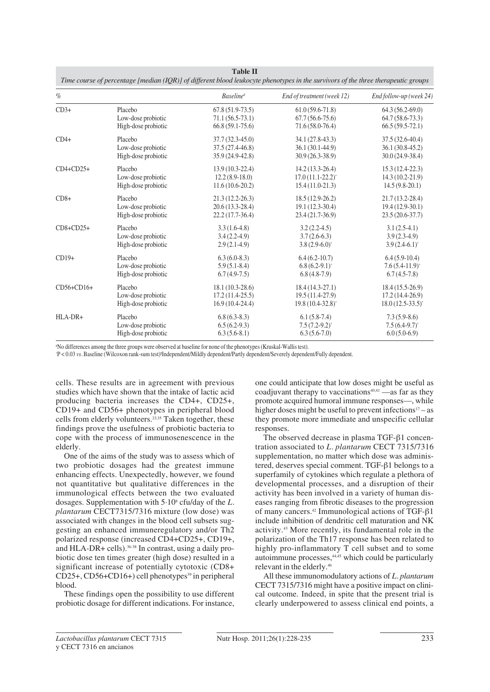| $\%$        |                     | <b>Baseline*</b>    | End of treatment (week 12)  | End follow-up (week 24)     |
|-------------|---------------------|---------------------|-----------------------------|-----------------------------|
| $CD3+$      | Placebo             | $67.8(51.9-73.5)$   | $61.0(59.6-71.8)$           | $64.3(56.2-69.0)$           |
|             | Low-dose probiotic  | $71.1(56.5-73.1)$   | $67.7(56.6-75.6)$           | $64.7(58.6 - 73.3)$         |
|             | High-dose probiotic | $66.8(59.1-75.6)$   | 71.6 (58.0-76.4)            | $66.5(59.5-72.1)$           |
| $CD4+$      | Placebo             | $37.7(32.3-45.0)$   | 34.1 (27.8-43.3)            | 37.5 (32.6-40.4)            |
|             | Low-dose probiotic  | 37.5 (27.4-46.8)    | $36.1(30.1-44.9)$           | $36.1(30.8-45.2)$           |
|             | High-dose probiotic | 35.9 (24.9-42.8)    | $30.9(26.3-38.9)$           | $30.0(24.9-38.4)$           |
| $CD4+CD25+$ | Placebo             | $13.9(10.3-22.4)$   | $14.2(13.3-26.4)$           | $15.3(12.4-22.3)$           |
|             | Low-dose probiotic  | $12.2(8.9-18.0)$    | $17.0(11.1-22.2)^{*}$       | $14.3(10.2 - 21.9)$         |
|             | High-dose probiotic | $11.6(10.6-20.2)$   | $15.4(11.0-21.3)$           | $14.5(9.8-20.1)$            |
| $CD8+$      | Placebo             | $21.3(12.2 - 26.3)$ | $18.5(12.9-26.2)$           | $21.7(13.2 - 28.4)$         |
|             | Low-dose probiotic  | $20.6(13.3-28.4)$   | $19.1(12.3-30.4)$           | $19.4(12.9-30.1)$           |
|             | High-dose probiotic | $22.2(17.7-36.4)$   | $23.4(21.7-36.9)$           | $23.5(20.6-37.7)$           |
| $CD8+CD25+$ | Placebo             | $3.3(1.6-4.8)$      | $3.2(2.2-4.5)$              | $3.1(2.5-4.1)$              |
|             | Low-dose probiotic  | $3.4(2.2-4.9)$      | $3.7(2.6-6.3)$              | $3.9(2.3-4.9)$              |
|             | High-dose probiotic | $2.9(2.1-4.9)$      | $3.8(2.9-6.0)$ <sup>*</sup> | $3.9(2.4-6.1)$ <sup>*</sup> |
| $CD19+$     | Placebo             | $6.3(6.0-8.3)$      | $6.4(6.2-10.7)$             | $6.4(5.9-10.4)$             |
|             | Low-dose probiotic  | $5.9(5.1-8.4)$      | $6.8(6.2-9.1)^{*}$          | $7.6(5.4-11.9)^{*}$         |
|             | High-dose probiotic | $6.7(4.9-7.5)$      | $6.8(4.8-7.9)$              | $6.7(4.5-7.8)$              |
| CD56+CD16+  | Placebo             | $18.1(10.3-28.6)$   | $18.4(14.3-27.1)$           | $18.4(15.5-26.9)$           |
|             | Low-dose probiotic  | $17.2(11.4-25.5)$   | $19.5(11.4-27.9)$           | $17.2(14.4-26.9)$           |
|             | High-dose probiotic | $16.9(10.4-24.4)$   | 19.8 (10.4-32.8)*           | $18.0(12.5-33.5)^{*}$       |
| HLA-DR+     | Placebo             | $6.8(6.3-8.3)$      | $6.1(5.8-7.4)$              | $7.3(5.9-8.6)$              |
|             | Low-dose probiotic  | $6.5(6.2-9.3)$      | $7.5(7.2-9.2)^{*}$          | $7.5(6.4-9.7)^{*}$          |
|             | High-dose probiotic | $6.3(5.6-8.1)$      | $6.3(5.6-7.0)$              | $6.0(5.0-6.9)$              |

**Table II** 

# No differences among the three groups were observed at baseline for none of the phenotypes (Kruskal-Wallis test).

\* P < 0.03 *vs.* Baseline (Wilcoxon rank-sum test)¶ Independent/Mildly dependent/Partly dependent/Severely dependent/Fully dependent.

cells. These results are in agreement with previous studies which have shown that the intake of lactic acid producing bacteria increases the CD4+, CD25+, CD19+ and CD56+ phenotypes in peripheral blood cells from elderly volunteers.23,35 Taken together, these findings prove the usefulness of probiotic bacteria to cope with the process of immunosenescence in the elderly.

One of the aims of the study was to assess which of two probiotic dosages had the greatest immune enhancing effects. Unexpectedly, however, we found not quantitative but qualitative differences in the immunological effects between the two evaluated dosages. Supplementation with 5·108 cfu/day of the *L. plantarum* CECT7315/7316 mixture (low dose) was associated with changes in the blood cell subsets suggesting an enhanced immuneregulatory and/or Th2 polarized response (increased CD4+CD25+, CD19+, and HLA-DR+ cells).36-38 In contrast, using a daily probiotic dose ten times greater (high dose) resulted in a significant increase of potentially cytotoxic (CD8+  $CD25+$ ,  $CD56+CD16+$ ) cell phenotypes<sup>39</sup> in peripheral blood.

These findings open the possibility to use different probiotic dosage for different indications. For instance, one could anticipate that low doses might be useful as coadjuvant therapy to vaccinations<sup>40,41</sup> —as far as they promote acquired humoral immune responses—, while higher doses might be useful to prevent infections $17 - as$ they promote more immediate and unspecific cellular responses.

The observed decrease in plasma TGF-β1 concentration associated to *L. plantarum* CECT 7315/7316 supplementation, no matter which dose was administered, deserves special comment. TGF-β1 belongs to a superfamily of cytokines which regulate a plethora of developmental processes, and a disruption of their activity has been involved in a variety of human diseases ranging from fibrotic diseases to the progression of many cancers.42 Immunological actions of TGF-β1 include inhibition of dendritic cell maturation and NK activity.43 More recently, its fundamental role in the polarization of the Th17 response has been related to highly pro-inflammatory T cell subset and to some autoimmune processes, $44,45$  which could be particularly relevant in the elderly.46

All these immunomodulatory actions of *L. plantarum* CECT 7315/7316 might have a positive impact on clinical outcome. Indeed, in spite that the present trial is clearly underpowered to assess clinical end points, a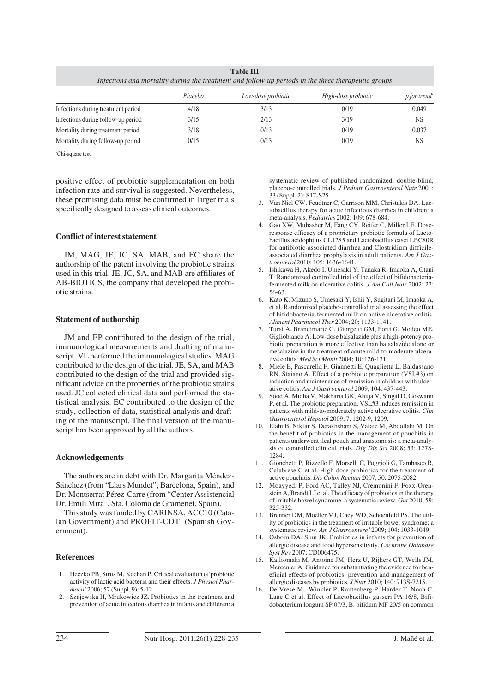| <b>Table III</b> |  |
|------------------|--|

| Infections and mortality during the treatment and follow-up periods in the three therapeutic groups |         |                    |                     |                                 |  |  |
|-----------------------------------------------------------------------------------------------------|---------|--------------------|---------------------|---------------------------------|--|--|
|                                                                                                     | Placebo | Low-dose probiotic | High-dose probiotic | <i>p</i> for trend <sup>*</sup> |  |  |
| Infections during treatment period                                                                  | 4/18    | 3/13               | 0/19                | 0.049                           |  |  |
| Infections during follow-up period                                                                  | 3/15    | 2/13               | 3/19                | <b>NS</b>                       |  |  |
| Mortality during treatment period                                                                   | 3/18    | 0/13               | 0/19                | 0.037                           |  |  |
| Mortality during follow-up period                                                                   | 0/15    | 0/13               | 0/19                | <b>NS</b>                       |  |  |

\* Chi-square test.

positive effect of probiotic supplementation on both infection rate and survival is suggested. Nevertheless, these promising data must be confirmed in larger trials specifically designed to assess clinical outcomes.

#### **Conflict of interest statement**

JM, MAG, JE, JC, SA, MAB, and EC share the authorship of the patent involving the probiotic strains used in this trial. JE, JC, SA, and MAB are affiliates of AB-BIOTICS, the company that developed the probiotic strains.

#### **Statement of authorship**

JM and EP contributed to the design of the trial, immunological measurements and drafting of manuscript. VL performed the immunological studies. MAG contributed to the design of the trial. JE, SA, and MAB contributed to the design of the trial and provided significant advice on the properties of the probiotic strains used. JC collected clinical data and performed the statistical analysis. EC contributed to the design of the study, collection of data, statistical analysis and drafting of the manuscript. The final version of the manuscript has been approved by all the authors.

#### **Acknowledgements**

The authors are in debt with Dr. Margarita Méndez-Sánchez (from "Llars Mundet", Barcelona, Spain), and Dr. Montserrat Pérez-Carre (from "Center Assistencial Dr. Emili Mira", Sta. Coloma de Gramenet, Spain).

This study was funded by CARINSA, ACC10 (Catalan Government) and PROFIT-CDTI (Spanish Government).

#### **References**

- 1. Heczko PB, Strus M, Kochan P. Critical evaluation of probiotic activity of lactic acid bacteria and their effects. *J Physiol Pharmacol* 2006; 57 (Suppl. 9): 5-12.
- 2. Szajewska H, Mrukowicz JZ. Probiotics in the treatment and prevention of acute infectious diarrhea in infants and children: a

systematic review of published randomized, double-blind, placebo-controlled trials. *J Pediatr Gastroenterol Nutr* 2001; 33 (Suppl. 2): S17-S25.

- Van Niel CW, Feudtner C, Garrison MM, Christakis DA. Lactobacillus therapy for acute infectious diarrhea in children: a meta-analysis. *Pediatrics* 2002; 109: 678-684.
- 4. Gao XW, Mubasher M, Fang CY, Reifer C, Miller LE. Doseresponse efficacy of a proprietary probiotic formula of Lactobacillus acidophilus CL1285 and Lactobacillus casei LBC80R for antibiotic-associated diarrhea and Clostridium difficileassociated diarrhea prophylaxis in adult patients. *Am J Gastroenterol* 2010; 105: 1636-1641.
- 5. Ishikawa H, Akedo I, Umesaki Y, Tanaka R, Imaoka A, Otani T. Randomized controlled trial of the effect of bifidobacteriafermented milk on ulcerative colitis. *J Am Coll Nutr* 2002; 22: 56-63.
- 6. Kato K, Mizuno S, Umesaki Y, Ishii Y, Sugitani M, Imaoka A, et al. Randomized placebo-controlled trial assessing the effect of bifidobacteria-fermented milk on active ulcerative colitis. *Aliment Pharmacol Ther* 2004; 20: 1133-1141.
- 7. Tursi A, Brandimarte G, Giorgetti GM, Forti G, Modeo ME, Gigliobianco A. Low-dose balsalazide plus a high-potency probiotic preparation is more effective than balsalazide alone or mesalazine in the treatment of acute mild-to-moderate ulcerative colitis. *Med Sci Monit* 2004; 10: 126-131.
- 8. Miele E, Pascarella F, Giannetti E, Quaglietta L, Baldassano RN, Staiano A. Effect of a probiotic preparation (VSL#3) on induction and maintenance of remission in children with ulcerative colitis. *Am J Gastroenterol* 2009; 104: 437-443.
- 9. Sood A, Midha V, Makharia GK, Ahuja V, Singal D, Goswami P, et al. The probiotic preparation, VSL#3 induces remission in patients with mild-to-moderately active ulcerative colitis. *Clin Gastroenterol Hepatol* 2009; 7: 1202-9, 1209.
- 10. Elahi B, Nikfar S, Derakhshani S, Vafaie M, Abdollahi M. On the benefit of probiotics in the management of pouchitis in patients underwent ileal pouch anal anastomosis: a meta-analysis of controlled clinical trials. *Dig Dis Sci* 2008; 53: 1278- 1284.
- 11. Gionchetti P, Rizzello F, Morselli C, Poggioli G, Tambasco R, Calabrese C et al. High-dose probiotics for the treatment of active pouchitis. *Dis Colon Rectum* 2007; 50: 2075-2082.
- 12. Moayyedi P, Ford AC, Talley NJ, Cremonini F, Foxx-Orenstein A, Brandt LJ et al. The efficacy of probiotics in the therapy of irritable bowel syndrome: a systematic review. *Gut* 2010; 59: 325-332.
- 13. Brenner DM, Moeller MJ, Chey WD, Schoenfeld PS. The utility of probiotics in the treatment of irritable bowel syndrome: a systematic review. *Am J Gastroenterol* 2009; 104: 1033-1049.
- 14. Osborn DA, Sinn JK. Probiotics in infants for prevention of allergic disease and food hypersensitivity. *Cochrane Database Syst Rev* 2007; CD006475.
- 15. Kalliomaki M, Antoine JM, Herz U, Rijkers GT, Wells JM, Mercenier A. Guidance for substantiating the evidence for beneficial effects of probiotics: prevention and management of allergic diseases by probiotics. *J Nutr* 2010; 140: 713S-721S.
- 16. De Vrese M., Winkler P, Rautenberg P, Harder T, Noah C, Laue C et al. Effect of Lactobacillus gasseri PA 16/8, Bifidobacterium longum SP 07/3, B. bifidum MF 20/5 on common